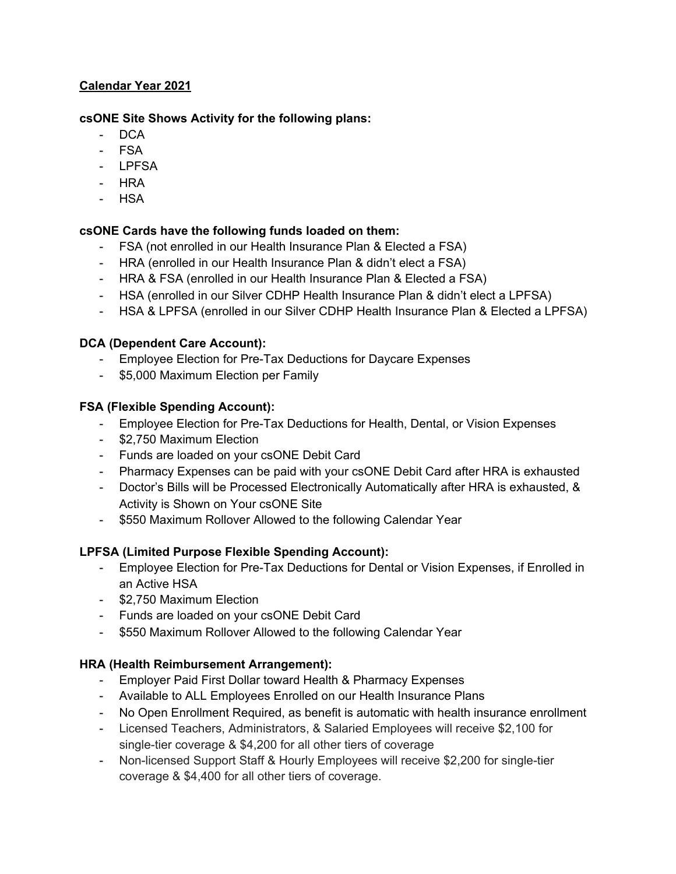## **Calendar Year 2021**

#### **csONE Site Shows Activity for the following plans:**

- DCA
- FSA
- LPFSA
- HRA
- HSA

### **csONE Cards have the following funds loaded on them:**

- FSA (not enrolled in our Health Insurance Plan & Elected a FSA)
- HRA (enrolled in our Health Insurance Plan & didn't elect a FSA)
- HRA & FSA (enrolled in our Health Insurance Plan & Elected a FSA)
- HSA (enrolled in our Silver CDHP Health Insurance Plan & didn't elect a LPFSA)
- HSA & LPFSA (enrolled in our Silver CDHP Health Insurance Plan & Elected a LPFSA)

### **DCA (Dependent Care Account):**

- Employee Election for Pre-Tax Deductions for Daycare Expenses
- \$5,000 Maximum Election per Family

## **FSA (Flexible Spending Account):**

- Employee Election for Pre-Tax Deductions for Health, Dental, or Vision Expenses
- \$2,750 Maximum Election
- Funds are loaded on your csONE Debit Card
- Pharmacy Expenses can be paid with your csONE Debit Card after HRA is exhausted
- Doctor's Bills will be Processed Electronically Automatically after HRA is exhausted, & Activity is Shown on Your csONE Site
- \$550 Maximum Rollover Allowed to the following Calendar Year

## **LPFSA (Limited Purpose Flexible Spending Account):**

- Employee Election for Pre-Tax Deductions for Dental or Vision Expenses, if Enrolled in an Active HSA
- \$2,750 Maximum Election
- Funds are loaded on your csONE Debit Card
- \$550 Maximum Rollover Allowed to the following Calendar Year

# **HRA (Health Reimbursement Arrangement):**

- Employer Paid First Dollar toward Health & Pharmacy Expenses
- Available to ALL Employees Enrolled on our Health Insurance Plans
- No Open Enrollment Required, as benefit is automatic with health insurance enrollment
- Licensed Teachers, Administrators, & Salaried Employees will receive \$2,100 for single-tier coverage & \$4,200 for all other tiers of coverage
- Non-licensed Support Staff & Hourly Employees will receive \$2,200 for single-tier coverage & \$4,400 for all other tiers of coverage.